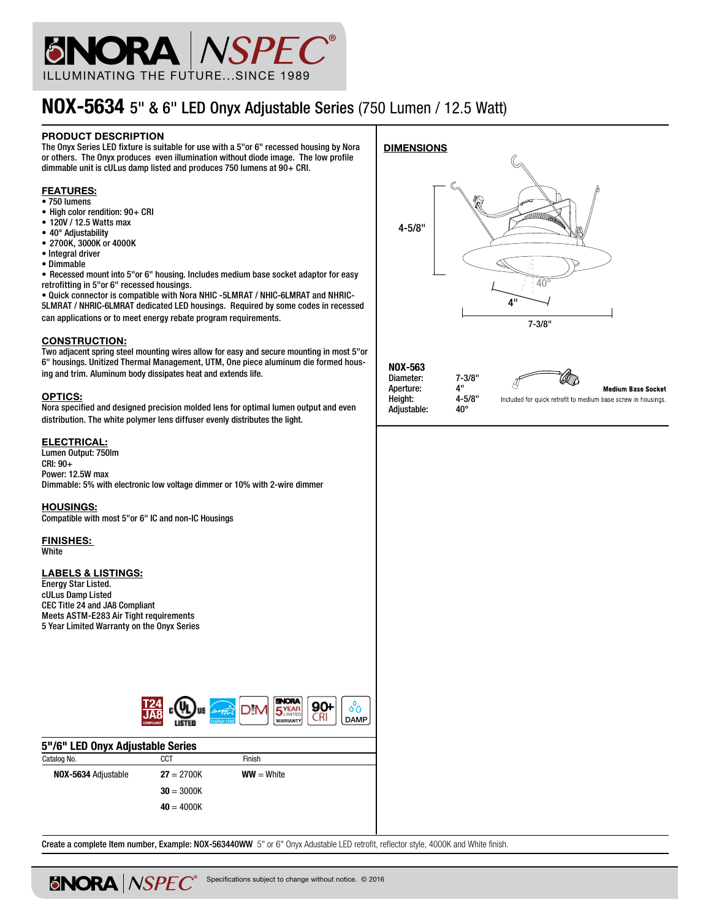

# NOX-5634 5" & 6" LED Onyx Adjustable Series (750 Lumen / 12.5 Watt)

#### PRODUCT DESCRIPTION

The Onyx Series LED fixture is suitable for use with a 5"or 6" recessed housing by Nora or others. The Onyx produces even illumination without diode image. The low profile dimmable unit is cULus damp listed and produces 750 lumens at 90+ CRI.

#### **FEATURES:**

- 750 lumens
- High color rendition: 90+ CRI
- 120V / 12.5 Watts max
- 40° Adjustability
- 2700K, 3000K or 4000K
- Integral driver
- Dimmable

• Recessed mount into 5"or 6" housing. Includes medium base socket adaptor for easy retrofitting in 5"or 6" recessed housings.

• Quick connector is compatible with Nora NHIC -5LMRAT / NHIC-6LMRAT and NHRIC-5LMRAT / NHRIC-6LMRAT dedicated LED housings. Required by some codes in recessed can applications or to meet energy rebate program requirements.

#### Construction:

Two adjacent spring steel mounting wires allow for easy and secure mounting in most 5"or 6" housings. Unitized Thermal Management, UTM, One piece aluminum die formed housing and trim. Aluminum body dissipates heat and extends life.

#### OPTICS:

Nora specified and designed precision molded lens for optimal lumen output and even distribution. The white polymer lens diffuser evenly distributes the light.

#### ELECTRICAL:

Lumen Output: 750lm CRI: 90+ Power: 12.5W max Dimmable: 5% with electronic low voltage dimmer or 10% with 2-wire dimmer

#### Housings:

Compatible with most 5"or 6" IC and non-IC Housings

Finishes: White

## LABELS & LISTINGS:

Energy Star Listed. cULus Damp Listed CEC Title 24 and JA8 Compliant Meets ASTM-E283 Air Tight requirements 5 Year Limited Warranty on the Onyx Series

**ENORA** *NSPEC®* 



| 5"/6" LED Onyx Adjustable Series |              |  |  |  |  |
|----------------------------------|--------------|--|--|--|--|
| CCT                              | Finish       |  |  |  |  |
| $27 = 2700K$                     | $WW = White$ |  |  |  |  |
| $30 = 3000K$                     |              |  |  |  |  |
| $40 = 4000K$                     |              |  |  |  |  |
|                                  |              |  |  |  |  |

Create a complete Item number, Example: NOX-563440WW 5" or 6" Onyx Adustable LED retrofit, reflector style, 4000K and White finish.

Specifications subject to change without notice. © 2016



NOX-563 Diameter: 7-3/8"<br>Aperture: 4" Aperture: 4"<br>Height: 4-5/8" Height: 4-5/<br>Adjustable: 40° Adjustable:



**Medium Base Socket** 

Included for quick retrofit to medium base screw in housings.